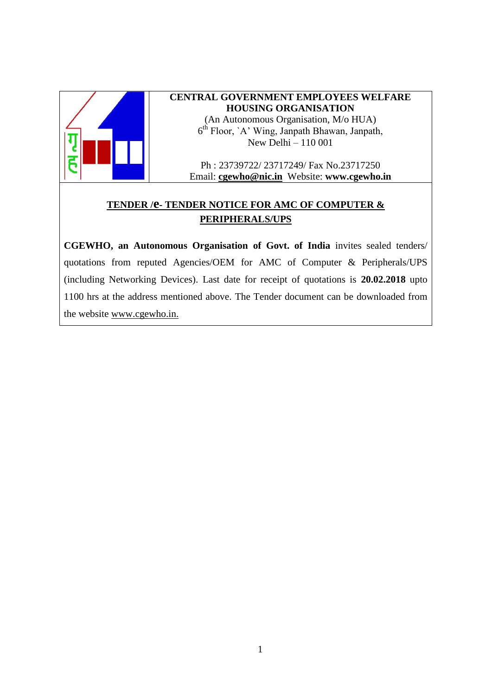

#### **CENTRAL GOVERNMENT EMPLOYEES WELFARE HOUSING ORGANISATION** (An Autonomous Organisation, M/o HUA) 6 th Floor, `A' Wing, Janpath Bhawan, Janpath, New Delhi – 110 001

Ph : 23739722/ 23717249/ Fax No.23717250 Email: **[cgewho@nic.in](mailto:cgewho@nic.in)** Website: **www.cgewho.in**

## **TENDER /e- TENDER NOTICE FOR AMC OF COMPUTER & PERIPHERALS/UPS**

**CGEWHO, an Autonomous Organisation of Govt. of India** invites sealed tenders/ quotations from reputed Agencies/OEM for AMC of Computer & Peripherals/UPS (including Networking Devices). Last date for receipt of quotations is **20.02.2018** upto 1100 hrs at the address mentioned above. The Tender document can be downloaded from the website [www.cgewho.in.](http://www.cgewho.in/)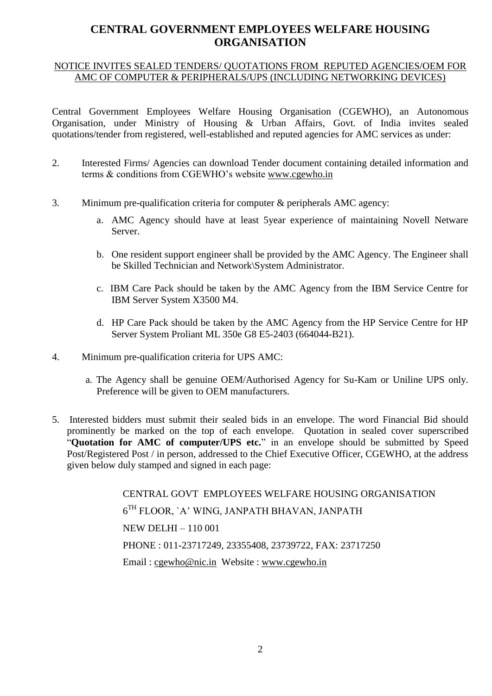# **CENTRAL GOVERNMENT EMPLOYEES WELFARE HOUSING ORGANISATION**

#### NOTICE INVITES SEALED TENDERS/ QUOTATIONS FROM REPUTED AGENCIES/OEM FOR AMC OF COMPUTER & PERIPHERALS/UPS (INCLUDING NETWORKING DEVICES)

Central Government Employees Welfare Housing Organisation (CGEWHO), an Autonomous Organisation, under Ministry of Housing & Urban Affairs, Govt. of India invites sealed quotations/tender from registered, well-established and reputed agencies for AMC services as under:

- 2. Interested Firms/ Agencies can download Tender document containing detailed information and terms & conditions from CGEWHO's website [www.cgewho.](http://www.cgewho/)in
- 3. Minimum pre-qualification criteria for computer & peripherals AMC agency:
	- a. AMC Agency should have at least 5year experience of maintaining Novell Netware Server.
	- b. One resident support engineer shall be provided by the AMC Agency. The Engineer shall be Skilled Technician and Network\System Administrator.
	- c. IBM Care Pack should be taken by the AMC Agency from the IBM Service Centre for IBM Server System X3500 M4.
	- d. HP Care Pack should be taken by the AMC Agency from the HP Service Centre for HP Server System Proliant ML 350e G8 E5-2403 (664044-B21).
- 4. Minimum pre-qualification criteria for UPS AMC:
	- a. The Agency shall be genuine OEM/Authorised Agency for Su-Kam or Uniline UPS only. Preference will be given to OEM manufacturers.
- 5. Interested bidders must submit their sealed bids in an envelope. The word Financial Bid should prominently be marked on the top of each envelope. Quotation in sealed cover superscribed "**Quotation for AMC of computer/UPS etc.**" in an envelope should be submitted by Speed Post/Registered Post / in person, addressed to the Chief Executive Officer, CGEWHO, at the address given below duly stamped and signed in each page:

CENTRAL GOVT EMPLOYEES WELFARE HOUSING ORGANISATION  $6^{\rm TH}$  FLOOR, `A' WING, JANPATH BHAVAN, JANPATH NEW DELHI – 110 001 PHONE : 011-23717249, 23355408, 23739722, FAX: 23717250 Email : [cgewho@nic.in](mailto:cgewho@nic.in) Website : [www.cgewho.in](http://www.cgewho.in/)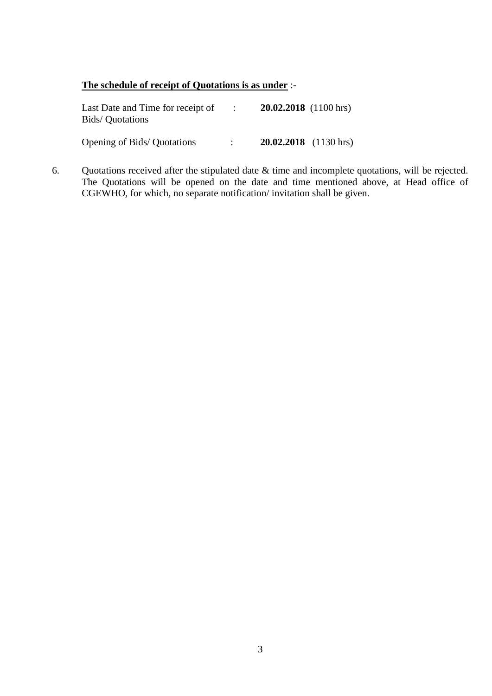#### **The schedule of receipt of Quotations is as under** :-

| Last Date and Time for receipt of<br><b>Bids/</b> Quotations | $20.02,2018$ (1100 hrs) |
|--------------------------------------------------------------|-------------------------|
| <b>Opening of Bids/ Quotations</b>                           | $20.02,2018$ (1130 hrs) |

6. Quotations received after the stipulated date  $\&$  time and incomplete quotations, will be rejected. The Quotations will be opened on the date and time mentioned above, at Head office of CGEWHO, for which, no separate notification/ invitation shall be given.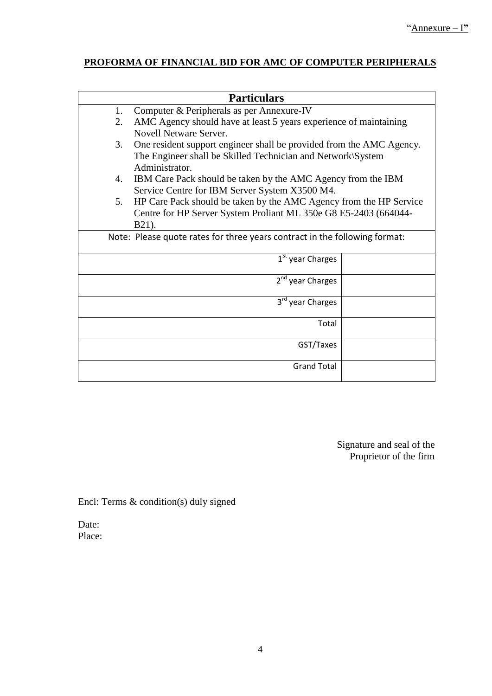# **PROFORMA OF FINANCIAL BID FOR AMC OF COMPUTER PERIPHERALS**

| <b>Particulars</b>                                                         |                                                                      |  |  |  |  |
|----------------------------------------------------------------------------|----------------------------------------------------------------------|--|--|--|--|
| 1.                                                                         | Computer & Peripherals as per Annexure-IV                            |  |  |  |  |
| 2.                                                                         | AMC Agency should have at least 5 years experience of maintaining    |  |  |  |  |
|                                                                            | <b>Novell Netware Server.</b>                                        |  |  |  |  |
| 3.                                                                         | One resident support engineer shall be provided from the AMC Agency. |  |  |  |  |
|                                                                            | The Engineer shall be Skilled Technician and Network\System          |  |  |  |  |
|                                                                            | Administrator.                                                       |  |  |  |  |
| 4.                                                                         | IBM Care Pack should be taken by the AMC Agency from the IBM         |  |  |  |  |
|                                                                            | Service Centre for IBM Server System X3500 M4.                       |  |  |  |  |
| 5.                                                                         | HP Care Pack should be taken by the AMC Agency from the HP Service   |  |  |  |  |
|                                                                            | Centre for HP Server System Proliant ML 350e G8 E5-2403 (664044-     |  |  |  |  |
|                                                                            | B21).                                                                |  |  |  |  |
| Note: Please quote rates for three years contract in the following format: |                                                                      |  |  |  |  |
|                                                                            | 1 <sup>St</sup> year Charges                                         |  |  |  |  |
|                                                                            |                                                                      |  |  |  |  |
|                                                                            | 2 <sup>nd</sup> year Charges                                         |  |  |  |  |
|                                                                            |                                                                      |  |  |  |  |
|                                                                            | 3rd year Charges                                                     |  |  |  |  |
|                                                                            | Total                                                                |  |  |  |  |
|                                                                            |                                                                      |  |  |  |  |
|                                                                            | GST/Taxes                                                            |  |  |  |  |
|                                                                            |                                                                      |  |  |  |  |
|                                                                            | <b>Grand Total</b>                                                   |  |  |  |  |
|                                                                            |                                                                      |  |  |  |  |

Signature and seal of the Proprietor of the firm

Encl: Terms & condition(s) duly signed

Date: Place: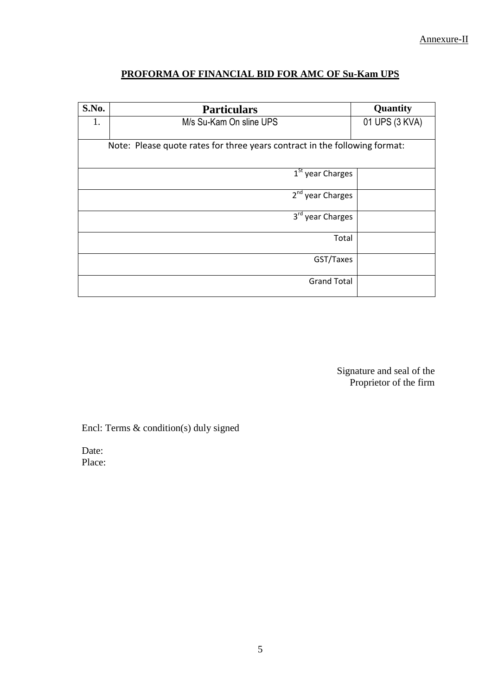## **PROFORMA OF FINANCIAL BID FOR AMC OF Su-Kam UPS**

| S.No.                                                                      | <b>Particulars</b>           | Quantity       |  |  |
|----------------------------------------------------------------------------|------------------------------|----------------|--|--|
| 1.                                                                         | M/s Su-Kam On sline UPS      | 01 UPS (3 KVA) |  |  |
|                                                                            |                              |                |  |  |
| Note: Please quote rates for three years contract in the following format: |                              |                |  |  |
|                                                                            | $1St$ year Charges           |                |  |  |
|                                                                            |                              |                |  |  |
|                                                                            | 2 <sup>nd</sup> year Charges |                |  |  |
|                                                                            | 3 <sup>rd</sup> year Charges |                |  |  |
|                                                                            | Total                        |                |  |  |
|                                                                            | GST/Taxes                    |                |  |  |
|                                                                            | <b>Grand Total</b>           |                |  |  |

Signature and seal of the Proprietor of the firm

Encl: Terms & condition(s) duly signed

Date: Place: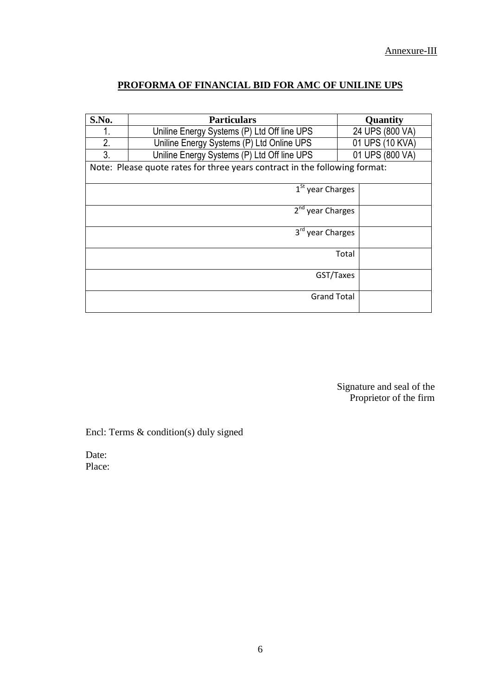### **PROFORMA OF FINANCIAL BID FOR AMC OF UNILINE UPS**

| S.No.                                                                      | <b>Particulars</b>                          | Quantity        |  |
|----------------------------------------------------------------------------|---------------------------------------------|-----------------|--|
|                                                                            | Uniline Energy Systems (P) Ltd Off line UPS | 24 UPS (800 VA) |  |
| 2.                                                                         | Uniline Energy Systems (P) Ltd Online UPS   | 01 UPS (10 KVA) |  |
| 3.                                                                         | Uniline Energy Systems (P) Ltd Off line UPS | 01 UPS (800 VA) |  |
| Note: Please quote rates for three years contract in the following format: |                                             |                 |  |
| $1St$ year Charges                                                         |                                             |                 |  |
|                                                                            | 2 <sup>nd</sup> year Charges                |                 |  |
|                                                                            | 3 <sup>rd</sup> year Charges                |                 |  |
|                                                                            | Total                                       |                 |  |
|                                                                            | GST/Taxes                                   |                 |  |
|                                                                            | <b>Grand Total</b>                          |                 |  |

Signature and seal of the Proprietor of the firm

Encl: Terms & condition(s) duly signed

Date: Place: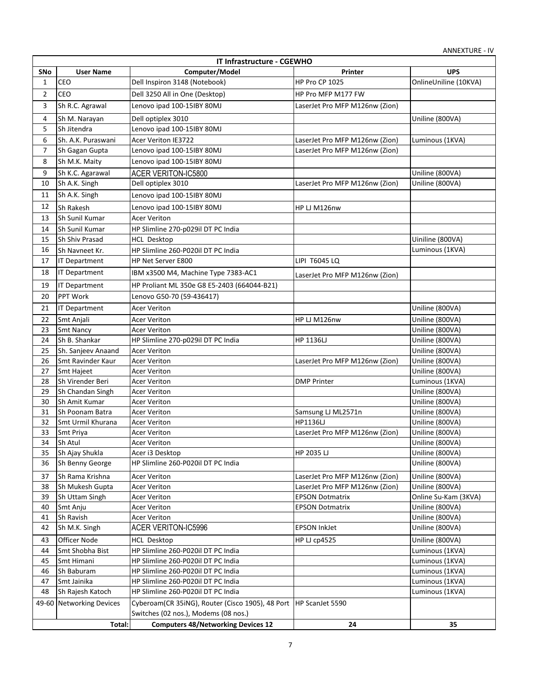|                | IT Infrastructure - CGEWHO        |                                                                    |                                |                       |  |
|----------------|-----------------------------------|--------------------------------------------------------------------|--------------------------------|-----------------------|--|
| SNo            | <b>User Name</b>                  | Computer/Model                                                     | Printer                        | <b>UPS</b>            |  |
| $\mathbf{1}$   | <b>CEO</b>                        | Dell Inspiron 3148 (Notebook)                                      | HP Pro CP 1025                 | OnlineUniline (10KVA) |  |
| $\overline{2}$ | CEO                               | Dell 3250 All in One (Desktop)                                     | HP Pro MFP M177 FW             |                       |  |
| 3              | Sh R.C. Agrawal                   | Lenovo ipad 100-15IBY 80MJ                                         | LaserJet Pro MFP M126nw (Zion) |                       |  |
| 4              | Sh M. Narayan                     | Dell optiplex 3010                                                 |                                | Uniline (800VA)       |  |
| 5              | Sh Jitendra                       | Lenovo ipad 100-15IBY 80MJ                                         |                                |                       |  |
| 6              | Sh. A.K. Puraswani                | Acer Veriton IE3722                                                | LaserJet Pro MFP M126nw (Zion) | Luminous (1KVA)       |  |
| $\overline{7}$ | Sh Gagan Gupta                    | Lenovo ipad 100-15IBY 80MJ                                         | LaserJet Pro MFP M126nw (Zion) |                       |  |
| 8              | Sh M.K. Maity                     | Lenovo ipad 100-15IBY 80MJ                                         |                                |                       |  |
| 9              |                                   |                                                                    |                                | Uniline (800VA)       |  |
| 10             | Sh K.C. Agarawal<br>Sh A.K. Singh | ACER VERITON-IC5800                                                | LaserJet Pro MFP M126nw (Zion) | Uniline (800VA)       |  |
|                |                                   | Dell optiplex 3010                                                 |                                |                       |  |
| 11             | Sh A.K. Singh                     | Lenovo ipad 100-15IBY 80MJ                                         |                                |                       |  |
| 12             | Sh Rakesh                         | Lenovo ipad 100-15IBY 80MJ                                         | HP LJ M126nw                   |                       |  |
| 13             | Sh Sunil Kumar                    | <b>Acer Veriton</b>                                                |                                |                       |  |
| 14             | Sh Sunil Kumar                    | HP Slimline 270-p029il DT PC India                                 |                                |                       |  |
| 15             | Sh Shiv Prasad                    | HCL Desktop                                                        |                                | Uiniline (800VA)      |  |
| 16             | Sh Navneet Kr.                    | HP Slimline 260-P020il DT PC India                                 |                                | Luminous (1KVA)       |  |
| 17             | <b>IT Department</b>              | HP Net Server E800                                                 | LIPI T6045 LQ                  |                       |  |
| 18             | <b>IT Department</b>              | IBM x3500 M4, Machine Type 7383-AC1                                | LaserJet Pro MFP M126nw (Zion) |                       |  |
| 19             | <b>IT Department</b>              | HP Proliant ML 350e G8 E5-2403 (664044-B21)                        |                                |                       |  |
| 20             | <b>PPT Work</b>                   | Lenovo G50-70 (59-436417)                                          |                                |                       |  |
| 21             | <b>IT Department</b>              | <b>Acer Veriton</b>                                                |                                | Uniline (800VA)       |  |
| 22             | Smt Anjali                        | Acer Veriton                                                       | HP LJ M126nw                   | Uniline (800VA)       |  |
| 23             | <b>Smt Nancy</b>                  | Acer Veriton                                                       |                                | Uniline (800VA)       |  |
| 24             | Sh B. Shankar                     | HP Slimline 270-p029il DT PC India                                 | <b>HP 1136LJ</b>               | Uniline (800VA)       |  |
| 25             | Sh. Sanjeev Anaand                | <b>Acer Veriton</b>                                                |                                | Uniline (800VA)       |  |
| 26             | Smt Ravinder Kaur                 | Acer Veriton                                                       | LaserJet Pro MFP M126nw (Zion) | Uniline (800VA)       |  |
| 27             | Smt Hajeet                        | Acer Veriton                                                       |                                | Uniline (800VA)       |  |
| 28             | Sh Virender Beri                  | Acer Veriton                                                       | <b>DMP Printer</b>             | Luminous (1KVA)       |  |
| 29             | Sh Chandan Singh                  | Acer Veriton                                                       |                                | Uniline (800VA)       |  |
| 30             | Sh Amit Kumar                     | <b>Acer Veriton</b>                                                |                                | Uniline (800VA)       |  |
| 31             | Sh Poonam Batra                   | Acer Veriton                                                       | Samsung LJ ML2571n             | Uniline (800VA)       |  |
| 32             | Smt Urmil Khurana                 | <b>Acer Veriton</b>                                                | HP1136LJ                       | Uniline (800VA)       |  |
| 33             | Smt Priya                         | <b>Acer Veriton</b>                                                | LaserJet Pro MFP M126nw (Zion) | Uniline (800VA)       |  |
| 34             | Sh Atul                           | Acer Veriton                                                       |                                | Uniline (800VA)       |  |
| 35             | Sh Ajay Shukla                    | Acer i3 Desktop                                                    | HP 2035 LJ                     | Uniline (800VA)       |  |
| 36             | Sh Benny George                   | HP Slimline 260-P020il DT PC India                                 |                                | Uniline (800VA)       |  |
| 37             | Sh Rama Krishna                   | Acer Veriton                                                       | LaserJet Pro MFP M126nw (Zion) | Uniline (800VA)       |  |
| 38             | Sh Mukesh Gupta                   | Acer Veriton                                                       | LaserJet Pro MFP M126nw (Zion) | Uniline (800VA)       |  |
| 39             | Sh Uttam Singh                    | <b>Acer Veriton</b>                                                | <b>EPSON Dotmatrix</b>         | Online Su-Kam (3KVA)  |  |
| 40             | Smt Anju                          | <b>Acer Veriton</b>                                                | <b>EPSON Dotmatrix</b>         | Uniline (800VA)       |  |
| 41             | Sh Ravish                         | Acer Veriton                                                       |                                | Uniline (800VA)       |  |
| 42             | Sh M.K. Singh                     | <b>ACER VERITON-IC5996</b>                                         | <b>EPSON InkJet</b>            | Uniline (800VA)       |  |
| 43             | Officer Node                      | <b>HCL Desktop</b>                                                 | <b>HP LJ cp4525</b>            | Uniline (800VA)       |  |
| 44             | Smt Shobha Bist                   | HP Slimline 260-P020il DT PC India                                 |                                | Luminous (1KVA)       |  |
| 45             | Smt Himani                        | HP Slimline 260-P020il DT PC India                                 |                                | Luminous (1KVA)       |  |
| 46             | Sh Baburam                        | HP Slimline 260-P020il DT PC India                                 |                                | Luminous (1KVA)       |  |
| 47             | Smt Jainika                       | HP Slimline 260-P020il DT PC India                                 |                                | Luminous (1KVA)       |  |
| 48             | Sh Rajesh Katoch                  | HP Slimline 260-P020il DT PC India                                 |                                | Luminous (1KVA)       |  |
|                | 49-60 Networking Devices          | Cyberoam(CR 35iNG), Router (Cisco 1905), 48 Port   HP ScanJet 5590 |                                |                       |  |
|                |                                   | Switches (02 nos.), Modems (08 nos.)                               |                                |                       |  |
|                | Total:                            | <b>Computers 48/Networking Devices 12</b>                          | 24                             | 35                    |  |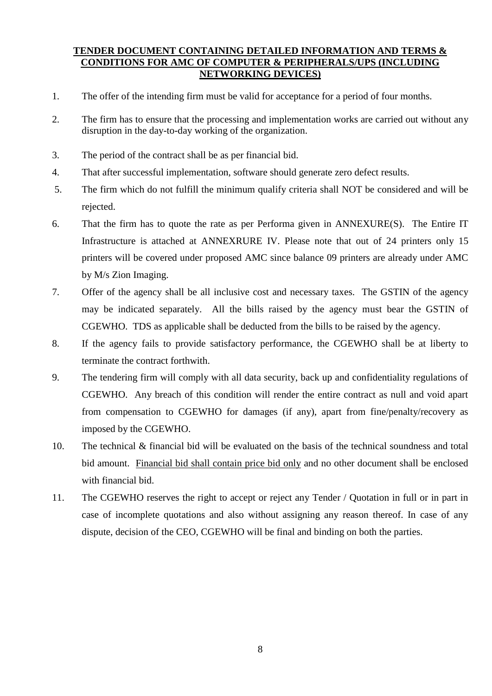#### **TENDER DOCUMENT CONTAINING DETAILED INFORMATION AND TERMS & CONDITIONS FOR AMC OF COMPUTER & PERIPHERALS/UPS (INCLUDING NETWORKING DEVICES)**

- 1. The offer of the intending firm must be valid for acceptance for a period of four months.
- 2. The firm has to ensure that the processing and implementation works are carried out without any disruption in the day-to-day working of the organization.
- 3. The period of the contract shall be as per financial bid.
- 4. That after successful implementation, software should generate zero defect results.
- 5. The firm which do not fulfill the minimum qualify criteria shall NOT be considered and will be rejected.
- 6. That the firm has to quote the rate as per Performa given in ANNEXURE(S). The Entire IT Infrastructure is attached at ANNEXRURE IV. Please note that out of 24 printers only 15 printers will be covered under proposed AMC since balance 09 printers are already under AMC by M/s Zion Imaging.
- 7. Offer of the agency shall be all inclusive cost and necessary taxes. The GSTIN of the agency may be indicated separately. All the bills raised by the agency must bear the GSTIN of CGEWHO. TDS as applicable shall be deducted from the bills to be raised by the agency.
- 8. If the agency fails to provide satisfactory performance, the CGEWHO shall be at liberty to terminate the contract forthwith.
- 9. The tendering firm will comply with all data security, back up and confidentiality regulations of CGEWHO. Any breach of this condition will render the entire contract as null and void apart from compensation to CGEWHO for damages (if any), apart from fine/penalty/recovery as imposed by the CGEWHO.
- 10. The technical & financial bid will be evaluated on the basis of the technical soundness and total bid amount. Financial bid shall contain price bid only and no other document shall be enclosed with financial bid.
- 11. The CGEWHO reserves the right to accept or reject any Tender / Quotation in full or in part in case of incomplete quotations and also without assigning any reason thereof. In case of any dispute, decision of the CEO, CGEWHO will be final and binding on both the parties.